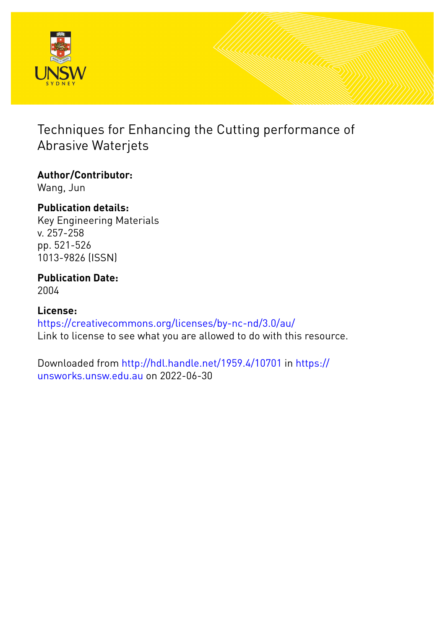

# Techniques for Enhancing the Cutting performance of Abrasive Waterjets

### **Author/Contributor:** Wang, Jun

**Publication details:** Key Engineering Materials v. 257-258 pp. 521-526

## **Publication Date:** 2004

1013-9826 (ISSN)

# **License:** <https://creativecommons.org/licenses/by-nc-nd/3.0/au/> Link to license to see what you are allowed to do with this resource.

Downloaded from <http://hdl.handle.net/1959.4/10701> in [https://](https://unsworks.unsw.edu.au) [unsworks.unsw.edu.au](https://unsworks.unsw.edu.au) on 2022-06-30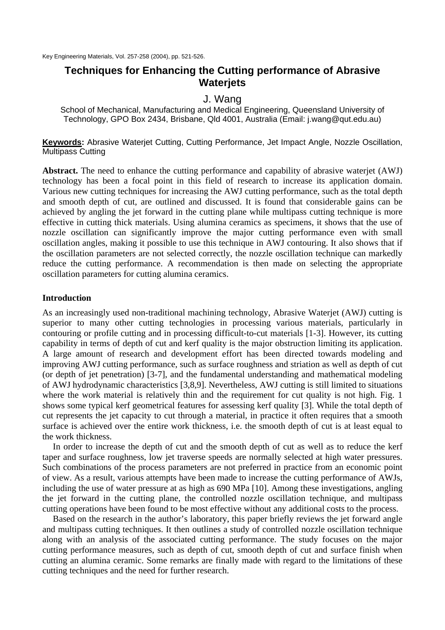### **Techniques for Enhancing the Cutting performance of Abrasive Waterjets**

### J. Wang

School of Mechanical, Manufacturing and Medical Engineering, Queensland University of Technology, GPO Box 2434, Brisbane, Qld 4001, Australia (Email: j.wang@qut.edu.au)

**Keywords:** Abrasive Waterjet Cutting, Cutting Performance, Jet Impact Angle, Nozzle Oscillation, Multipass Cutting

**Abstract.** The need to enhance the cutting performance and capability of abrasive waterjet (AWJ) technology has been a focal point in this field of research to increase its application domain. Various new cutting techniques for increasing the AWJ cutting performance, such as the total depth and smooth depth of cut, are outlined and discussed. It is found that considerable gains can be achieved by angling the jet forward in the cutting plane while multipass cutting technique is more effective in cutting thick materials. Using alumina ceramics as specimens, it shows that the use of nozzle oscillation can significantly improve the major cutting performance even with small oscillation angles, making it possible to use this technique in AWJ contouring. It also shows that if the oscillation parameters are not selected correctly, the nozzle oscillation technique can markedly reduce the cutting performance. A recommendation is then made on selecting the appropriate oscillation parameters for cutting alumina ceramics.

#### **Introduction**

As an increasingly used non-traditional machining technology, Abrasive Waterjet (AWJ) cutting is superior to many other cutting technologies in processing various materials, particularly in contouring or profile cutting and in processing difficult-to-cut materials [1-3]. However, its cutting capability in terms of depth of cut and kerf quality is the major obstruction limiting its application. A large amount of research and development effort has been directed towards modeling and improving AWJ cutting performance, such as surface roughness and striation as well as depth of cut (or depth of jet penetration) [3-7], and the fundamental understanding and mathematical modeling of AWJ hydrodynamic characteristics [3,8,9]. Nevertheless, AWJ cutting is still limited to situations where the work material is relatively thin and the requirement for cut quality is not high. Fig. 1 shows some typical kerf geometrical features for assessing kerf quality [3]. While the total depth of cut represents the jet capacity to cut through a material, in practice it often requires that a smooth surface is achieved over the entire work thickness, i.e. the smooth depth of cut is at least equal to the work thickness.

In order to increase the depth of cut and the smooth depth of cut as well as to reduce the kerf taper and surface roughness, low jet traverse speeds are normally selected at high water pressures. Such combinations of the process parameters are not preferred in practice from an economic point of view. As a result, various attempts have been made to increase the cutting performance of AWJs, including the use of water pressure at as high as 690 MPa [10]. Among these investigations, angling the jet forward in the cutting plane, the controlled nozzle oscillation technique, and multipass cutting operations have been found to be most effective without any additional costs to the process.

Based on the research in the author's laboratory, this paper briefly reviews the jet forward angle and multipass cutting techniques. It then outlines a study of controlled nozzle oscillation technique along with an analysis of the associated cutting performance. The study focuses on the major cutting performance measures, such as depth of cut, smooth depth of cut and surface finish when cutting an alumina ceramic. Some remarks are finally made with regard to the limitations of these cutting techniques and the need for further research.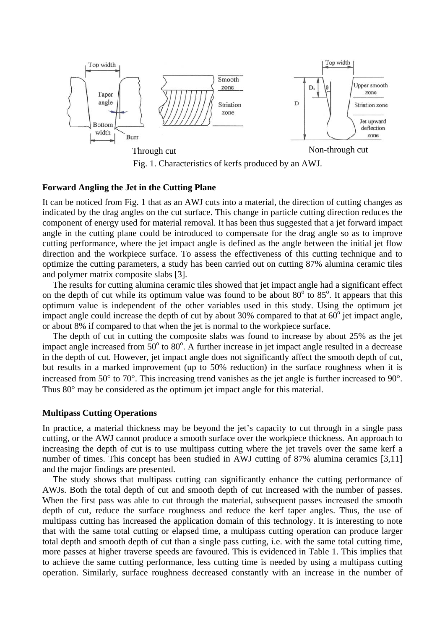

Fig. 1. Characteristics of kerfs produced by an AWJ.

#### **Forward Angling the Jet in the Cutting Plane**

It can be noticed from Fig. 1 that as an AWJ cuts into a material, the direction of cutting changes as indicated by the drag angles on the cut surface. This change in particle cutting direction reduces the component of energy used for material removal. It has been thus suggested that a jet forward impact angle in the cutting plane could be introduced to compensate for the drag angle so as to improve cutting performance, where the jet impact angle is defined as the angle between the initial jet flow direction and the workpiece surface. To assess the effectiveness of this cutting technique and to optimize the cutting parameters, a study has been carried out on cutting 87% alumina ceramic tiles and polymer matrix composite slabs [3].

The results for cutting alumina ceramic tiles showed that jet impact angle had a significant effect on the depth of cut while its optimum value was found to be about  $80^\circ$  to  $85^\circ$ . It appears that this optimum value is independent of the other variables used in this study. Using the optimum jet impact angle could increase the depth of cut by about 30% compared to that at  $60^{\circ}$  jet impact angle, or about 8% if compared to that when the jet is normal to the workpiece surface.

The depth of cut in cutting the composite slabs was found to increase by about 25% as the jet impact angle increased from  $50^{\circ}$  to  $80^{\circ}$ . A further increase in jet impact angle resulted in a decrease in the depth of cut. However, jet impact angle does not significantly affect the smooth depth of cut, but results in a marked improvement (up to 50% reduction) in the surface roughness when it is increased from 50° to 70°. This increasing trend vanishes as the jet angle is further increased to 90°. Thus 80<sup>°</sup> may be considered as the optimum jet impact angle for this material.

#### **Multipass Cutting Operations**

In practice, a material thickness may be beyond the jet's capacity to cut through in a single pass cutting, or the AWJ cannot produce a smooth surface over the workpiece thickness. An approach to increasing the depth of cut is to use multipass cutting where the jet travels over the same kerf a number of times. This concept has been studied in AWJ cutting of 87% alumina ceramics [3,11] and the major findings are presented.

The study shows that multipass cutting can significantly enhance the cutting performance of AWJs. Both the total depth of cut and smooth depth of cut increased with the number of passes. When the first pass was able to cut through the material, subsequent passes increased the smooth depth of cut, reduce the surface roughness and reduce the kerf taper angles. Thus, the use of multipass cutting has increased the application domain of this technology. It is interesting to note that with the same total cutting or elapsed time, a multipass cutting operation can produce larger total depth and smooth depth of cut than a single pass cutting, i.e. with the same total cutting time, more passes at higher traverse speeds are favoured. This is evidenced in Table 1. This implies that to achieve the same cutting performance, less cutting time is needed by using a multipass cutting operation. Similarly, surface roughness decreased constantly with an increase in the number of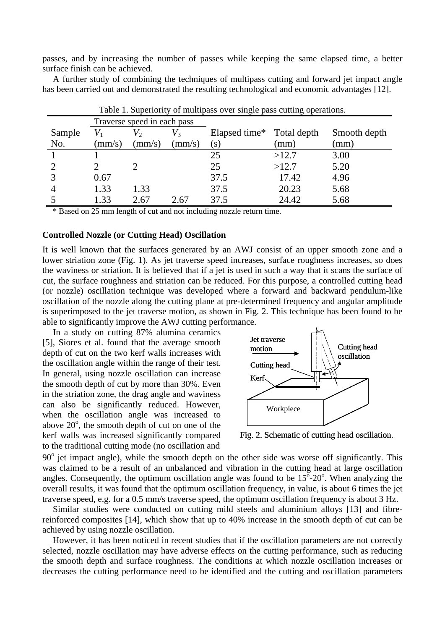passes, and by increasing the number of passes while keeping the same elapsed time, a better surface finish can be achieved.

A further study of combining the techniques of multipass cutting and forward jet impact angle has been carried out and demonstrated the resulting technological and economic advantages [12].

|        | There is purposed by the impact of the paper page cutting operations.<br>Traverse speed in each pass |        |               |                           |       |              |
|--------|------------------------------------------------------------------------------------------------------|--------|---------------|---------------------------|-------|--------------|
| Sample |                                                                                                      |        | $V_3$         | Elapsed time* Total depth |       | Smooth depth |
| No.    | $\rm (mm/s)$                                                                                         | (mm/s) | $\text{mm/s}$ | (s)                       | (mm)  | (mm)         |
|        |                                                                                                      |        |               | 25                        | >12.7 | 3.00         |
|        |                                                                                                      |        |               | 25                        | >12.7 | 5.20         |
|        | 0.67                                                                                                 |        |               | 37.5                      | 17.42 | 4.96         |
|        | 1.33                                                                                                 | 1.33   |               | 37.5                      | 20.23 | 5.68         |
|        | 1.33                                                                                                 | 2.67   | 2.67          | 37.5                      | 24.42 | 5.68         |

Table 1. Superiority of multipass over single pass cutting operations.

\* Based on 25 mm length of cut and not including nozzle return time.

#### **Controlled Nozzle (or Cutting Head) Oscillation**

It is well known that the surfaces generated by an AWJ consist of an upper smooth zone and a lower striation zone (Fig. 1). As jet traverse speed increases, surface roughness increases, so does the waviness or striation. It is believed that if a jet is used in such a way that it scans the surface of cut, the surface roughness and striation can be reduced. For this purpose, a controlled cutting head (or nozzle) oscillation technique was developed where a forward and backward pendulum-like oscillation of the nozzle along the cutting plane at pre-determined frequency and angular amplitude is superimposed to the jet traverse motion, as shown in Fig. 2. This technique has been found to be able to significantly improve the AWJ cutting performance.

In a study on cutting 87% alumina ceramics [5], Siores et al. found that the average smooth depth of cut on the two kerf walls increases with the oscillation angle within the range of their test. In general, using nozzle oscillation can increase the smooth depth of cut by more than 30%. Even in the striation zone, the drag angle and waviness can also be significantly reduced. However, when the oscillation angle was increased to above  $20^{\circ}$ , the smooth depth of cut on one of the kerf walls was increased significantly compared to the traditional cutting mode (no oscillation and



Fig. 2. Schematic of cutting head oscillation.

90° jet impact angle), while the smooth depth on the other side was worse off significantly. This was claimed to be a result of an unbalanced and vibration in the cutting head at large oscillation angles. Consequently, the optimum oscillation angle was found to be  $15^{\circ}$ -20°. When analyzing the overall results, it was found that the optimum oscillation frequency, in value, is about 6 times the jet traverse speed, e.g. for a 0.5 mm/s traverse speed, the optimum oscillation frequency is about 3 Hz.

Similar studies were conducted on cutting mild steels and aluminium alloys [13] and fibrereinforced composites [14], which show that up to 40% increase in the smooth depth of cut can be achieved by using nozzle oscillation.

However, it has been noticed in recent studies that if the oscillation parameters are not correctly selected, nozzle oscillation may have adverse effects on the cutting performance, such as reducing the smooth depth and surface roughness. The conditions at which nozzle oscillation increases or decreases the cutting performance need to be identified and the cutting and oscillation parameters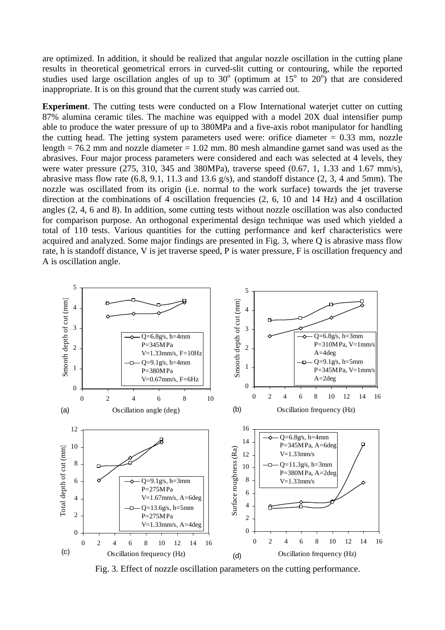are optimized. In addition, it should be realized that angular nozzle oscillation in the cutting plane results in theoretical geometrical errors in curved-slit cutting or contouring, while the reported studies used large oscillation angles of up to  $30^{\circ}$  (optimum at  $15^{\circ}$  to  $20^{\circ}$ ) that are considered inappropriate. It is on this ground that the current study was carried out.

**Experiment**. The cutting tests were conducted on a Flow International waterjet cutter on cutting 87% alumina ceramic tiles. The machine was equipped with a model 20X dual intensifier pump able to produce the water pressure of up to 380MPa and a five-axis robot manipulator for handling the cutting head. The jetting system parameters used were: orifice diameter  $= 0.33$  mm, nozzle length  $= 76.2$  mm and nozzle diameter  $= 1.02$  mm. 80 mesh almandine garnet sand was used as the abrasives. Four major process parameters were considered and each was selected at 4 levels, they were water pressure (275, 310, 345 and 380MPa), traverse speed (0.67, 1, 1.33 and 1.67 mm/s), abrasive mass flow rate (6.8, 9.1, 11.3 and 13.6 g/s), and standoff distance (2, 3, 4 and 5mm). The nozzle was oscillated from its origin (i.e. normal to the work surface) towards the jet traverse direction at the combinations of 4 oscillation frequencies (2, 6, 10 and 14 Hz) and 4 oscillation angles (2, 4, 6 and 8). In addition, some cutting tests without nozzle oscillation was also conducted for comparison purpose. An orthogonal experimental design technique was used which yielded a total of 110 tests. Various quantities for the cutting performance and kerf characteristics were acquired and analyzed. Some major findings are presented in Fig. 3, where Q is abrasive mass flow rate, h is standoff distance, V is jet traverse speed, P is water pressure, F is oscillation frequency and A is oscillation angle.



Fig. 3. Effect of nozzle oscillation parameters on the cutting performance.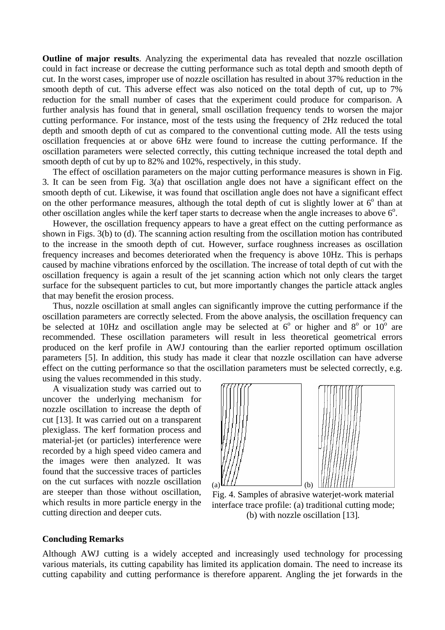**Outline of major results**. Analyzing the experimental data has revealed that nozzle oscillation could in fact increase or decrease the cutting performance such as total depth and smooth depth of cut. In the worst cases, improper use of nozzle oscillation has resulted in about 37% reduction in the smooth depth of cut. This adverse effect was also noticed on the total depth of cut, up to 7% reduction for the small number of cases that the experiment could produce for comparison. A further analysis has found that in general, small oscillation frequency tends to worsen the major cutting performance. For instance, most of the tests using the frequency of 2Hz reduced the total depth and smooth depth of cut as compared to the conventional cutting mode. All the tests using oscillation frequencies at or above 6Hz were found to increase the cutting performance. If the oscillation parameters were selected correctly, this cutting technique increased the total depth and smooth depth of cut by up to 82% and 102%, respectively, in this study.

The effect of oscillation parameters on the major cutting performance measures is shown in Fig. 3. It can be seen from Fig. 3(a) that oscillation angle does not have a significant effect on the smooth depth of cut. Likewise, it was found that oscillation angle does not have a significant effect on the other performance measures, although the total depth of cut is slightly lower at  $6^\circ$  than at other oscillation angles while the kerf taper starts to decrease when the angle increases to above  $6^\circ$ .

However, the oscillation frequency appears to have a great effect on the cutting performance as shown in Figs. 3(b) to (d). The scanning action resulting from the oscillation motion has contributed to the increase in the smooth depth of cut. However, surface roughness increases as oscillation frequency increases and becomes deteriorated when the frequency is above 10Hz. This is perhaps caused by machine vibrations enforced by the oscillation. The increase of total depth of cut with the oscillation frequency is again a result of the jet scanning action which not only clears the target surface for the subsequent particles to cut, but more importantly changes the particle attack angles that may benefit the erosion process.

Thus, nozzle oscillation at small angles can significantly improve the cutting performance if the oscillation parameters are correctly selected. From the above analysis, the oscillation frequency can be selected at 10Hz and oscillation angle may be selected at  $6^{\circ}$  or higher and  $8^{\circ}$  or  $10^{\circ}$  are recommended. These oscillation parameters will result in less theoretical geometrical errors produced on the kerf profile in AWJ contouring than the earlier reported optimum oscillation parameters [5]. In addition, this study has made it clear that nozzle oscillation can have adverse effect on the cutting performance so that the oscillation parameters must be selected correctly, e.g. using the values recommended in this study.

A visualization study was carried out to uncover the underlying mechanism for nozzle oscillation to increase the depth of cut [13]. It was carried out on a transparent plexiglass. The kerf formation process and material-jet (or particles) interference were recorded by a high speed video camera and the images were then analyzed. It was found that the successive traces of particles on the cut surfaces with nozzle oscillation are steeper than those without oscillation, which results in more particle energy in the cutting direction and deeper cuts.



Fig. 4. Samples of abrasive waterjet-work material interface trace profile: (a) traditional cutting mode; (b) with nozzle oscillation [13]*.*

#### **Concluding Remarks**

Although AWJ cutting is a widely accepted and increasingly used technology for processing various materials, its cutting capability has limited its application domain. The need to increase its cutting capability and cutting performance is therefore apparent. Angling the jet forwards in the